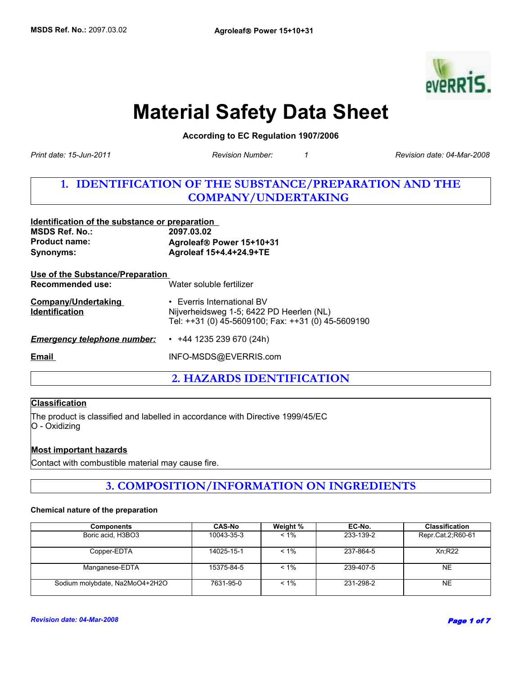

# **Material Safety Data Sheet**

**According to EC Regulation 1907/2006** 

*Revision Number: 1*

*Print date: 15-Jun-2011 Revision date: 04-Mar-2008*

# **1. IDENTIFICATION OF THE SUBSTANCE/PREPARATION AND THE COMPANY/UNDERTAKING**

| Identification of the substance or preparation       |                                                                                                                                    |  |
|------------------------------------------------------|------------------------------------------------------------------------------------------------------------------------------------|--|
| <b>MSDS Ref. No.:</b>                                | 2097.03.02                                                                                                                         |  |
| <b>Product name:</b>                                 | Agroleaf® Power 15+10+31                                                                                                           |  |
| Synonyms:                                            | Agroleaf 15+4.4+24.9+TE                                                                                                            |  |
| Use of the Substance/Preparation<br>Recommended use: | Water soluble fertilizer                                                                                                           |  |
| <b>Company/Undertaking</b><br><b>Identification</b>  | $\cdot$ Everris International BV<br>Nijverheidsweg 1-5; 6422 PD Heerlen (NL)<br>Tel: ++31 (0) 45-5609100; Fax: ++31 (0) 45-5609190 |  |
| <b>Emergency telephone number:</b>                   | $\cdot$ +44 1235 239 670 (24h)                                                                                                     |  |
| Email                                                | INFO-MSDS@EVERRIS.com                                                                                                              |  |
|                                                      |                                                                                                                                    |  |

**2. HAZARDS IDENTIFICATION**

# **Classification**

The product is classified and labelled in accordance with Directive 1999/45/EC O - Oxidizing

## **Most important hazards**

Contact with combustible material may cause fire.

# **3. COMPOSITION/INFORMATION ON INGREDIENTS**

#### **Chemical nature of the preparation**

| <b>Components</b>              | <b>CAS-No</b> | Weight % | EC-No.    | <b>Classification</b> |
|--------------------------------|---------------|----------|-----------|-----------------------|
| Boric acid, H3BO3              | 10043-35-3    | $< 1\%$  | 233-139-2 | Repr.Cat.2;R60-61     |
| Copper-EDTA                    | 14025-15-1    | $< 1\%$  | 237-864-5 | Xn;R22                |
| Manganese-EDTA                 | 15375-84-5    | $< 1\%$  | 239-407-5 | <b>NE</b>             |
| Sodium molybdate, Na2MoO4+2H2O | 7631-95-0     | $< 1\%$  | 231-298-2 | <b>NE</b>             |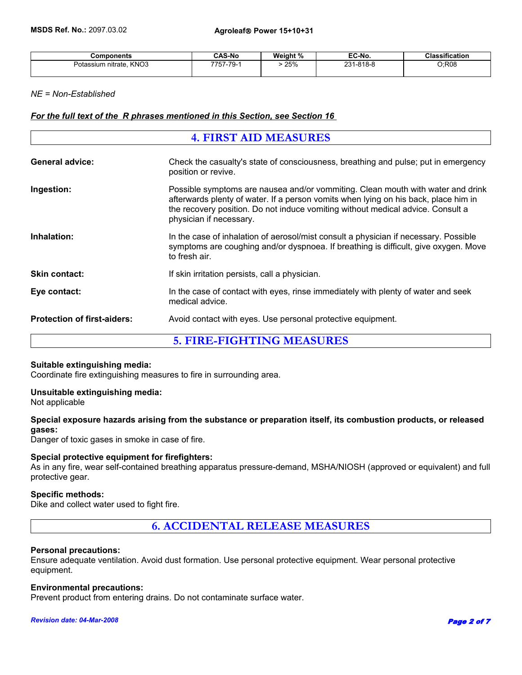| <b>Components</b>                                          | <b>CAS-No</b> | Weight % | EC-No.                          | .<br>Classification |
|------------------------------------------------------------|---------------|----------|---------------------------------|---------------------|
| KN <sub>O3</sub><br>nitrate.<br>Potassium<br>$\sim$ $\sim$ | 7757-79-      | 25%<br>. | $1 - 818 - 8$<br>י מר<br>$\sim$ | C;R08               |

## *NE = Non-Established*

## *For the full text of the R phrases mentioned in this Section, see Section 16*

| <b>4. FIRST AID MEASURES</b>       |                                                                                                                                                                                                                                                                                      |  |
|------------------------------------|--------------------------------------------------------------------------------------------------------------------------------------------------------------------------------------------------------------------------------------------------------------------------------------|--|
| <b>General advice:</b>             | Check the casualty's state of consciousness, breathing and pulse; put in emergency<br>position or revive.                                                                                                                                                                            |  |
| Ingestion:                         | Possible symptoms are nausea and/or vommiting. Clean mouth with water and drink<br>afterwards plenty of water. If a person vomits when lying on his back, place him in<br>the recovery position. Do not induce vomiting without medical advice. Consult a<br>physician if necessary. |  |
| Inhalation:                        | In the case of inhalation of aerosol/mist consult a physician if necessary. Possible<br>symptoms are coughing and/or dyspnoea. If breathing is difficult, give oxygen. Move<br>to fresh air.                                                                                         |  |
| <b>Skin contact:</b>               | If skin irritation persists, call a physician.                                                                                                                                                                                                                                       |  |
| Eye contact:                       | In the case of contact with eyes, rinse immediately with plenty of water and seek<br>medical advice.                                                                                                                                                                                 |  |
| <b>Protection of first-aiders:</b> | Avoid contact with eyes. Use personal protective equipment.                                                                                                                                                                                                                          |  |
| <b>5. FIRE-FIGHTING MEASURES</b>   |                                                                                                                                                                                                                                                                                      |  |

#### **Suitable extinguishing media:**

Coordinate fire extinguishing measures to fire in surrounding area.

#### **Unsuitable extinguishing media:**

Not applicable

## **Special exposure hazards arising from the substance or preparation itself, its combustion products, or released gases:**

Danger of toxic gases in smoke in case of fire.

## **Special protective equipment for firefighters:**

As in any fire, wear self-contained breathing apparatus pressure-demand, MSHA/NIOSH (approved or equivalent) and full protective gear.

## **Specific methods:**

Dike and collect water used to fight fire.

# **6. ACCIDENTAL RELEASE MEASURES**

#### **Personal precautions:**

Ensure adequate ventilation. Avoid dust formation. Use personal protective equipment. Wear personal protective equipment.

#### **Environmental precautions:**

Prevent product from entering drains. Do not contaminate surface water.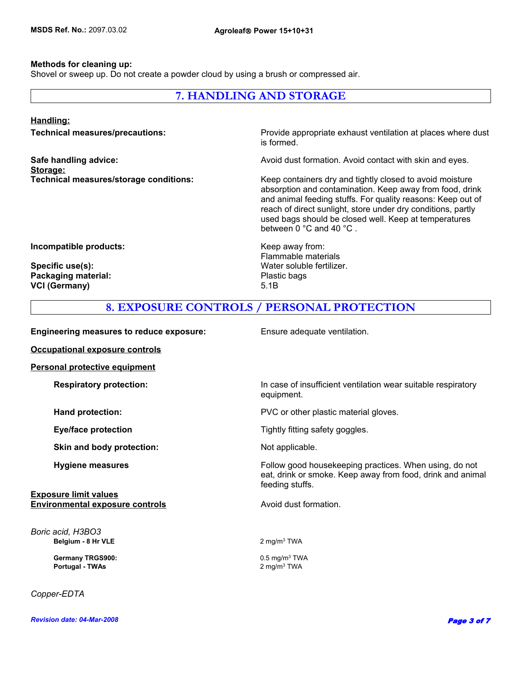## **Methods for cleaning up:**

Shovel or sweep up. Do not create a powder cloud by using a brush or compressed air.

# **7. HANDLING AND STORAGE**

#### **Handling:**

**Storage:**

**Technical measures/precautions:** Provide appropriate exhaust ventilation at places where dust is formed.

**Safe handling advice:** Avoid dust formation. Avoid contact with skin and eyes.

**Technical measures/storage conditions:** Keep containers dry and tightly closed to avoid moisture absorption and contamination. Keep away from food, drink and animal feeding stuffs. For quality reasons: Keep out of reach of direct sunlight, store under dry conditions, partly used bags should be closed well. Keep at temperatures between 0 °C and 40 °C .

**Incompatible products:** Keep away from:

Packaging material: **Packaging material:** Plastic bags **VCI (Germany)** 5.1B

Flammable materials **Specific use(s):** Water soluble fertilizer.

# **8. EXPOSURE CONTROLS / PERSONAL PROTECTION**

**Engineering measures to reduce exposure:** Ensure adequate ventilation.

**Occupational exposure controls Personal protective equipment Respiratory protection:** In case of insufficient ventilation wear suitable respiratory equipment. **Hand protection:** The protection of the plastic material gloves. **Eye/face protection Exercise 2.1 Transfer Service 2.1 Transference 2.1 Tightly fitting safety goggles. Skin and body protection:** Not applicable. **Hygiene measures Follow good housekeeping practices. When using, do not all the state of the Follow good housekeeping practices. When using, do not** eat, drink or smoke. Keep away from food, drink and animal feeding stuffs. **Exposure limit values Environmental exposure controls Avoid dust formation. Belgium - 8 Hr VLE** 2 mg/m<sup>3</sup> TWA *Boric acid, H3BO3*  **Germany TRGS900:** 0.5 mg/m3 TWA  **Portugal - TWAs** 2 mg/m3 TWA

*Copper-EDTA*

*Revision date: 04-Mar-2008*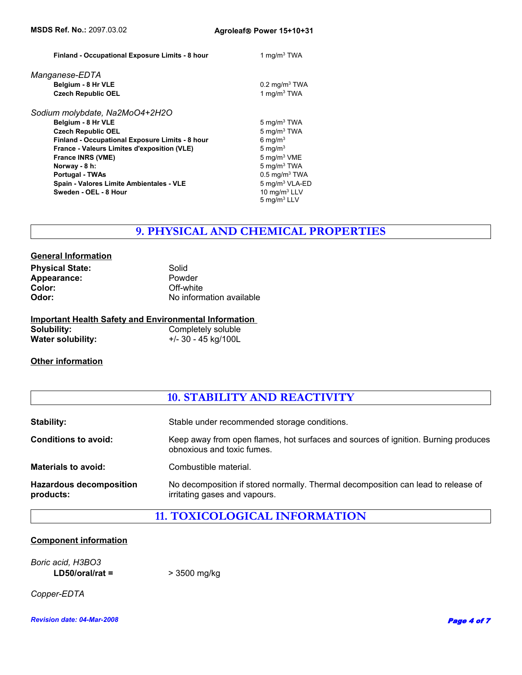| Finland - Occupational Exposure Limits - 8 hour | 1 mg/m $3$ TWA              |
|-------------------------------------------------|-----------------------------|
| Manganese-EDTA                                  |                             |
| Belgium - 8 Hr VLE                              | $0.2 \text{ mg/m}^3$ TWA    |
| <b>Czech Republic OEL</b>                       | 1 mg/m $3$ TWA              |
| Sodium molybdate, Na2MoO4+2H2O                  |                             |
| Belgium - 8 Hr VLE                              | 5 mg/m $3$ TWA              |
| <b>Czech Republic OEL</b>                       | $5 \text{ mg/m}^3$ TWA      |
| Finland - Occupational Exposure Limits - 8 hour | 6 mg/ $m3$                  |
| France - Valeurs Limites d'exposition (VLE)     | 5 mg/ $m3$                  |
| <b>France INRS (VME)</b>                        | 5 mg/m <sup>3</sup> VME     |
| Norway - 8 h:                                   | $5 \text{ mg/m}^3$ TWA      |
| <b>Portugal - TWAs</b>                          | $0.5$ mg/m <sup>3</sup> TWA |
| Spain - Valores Limite Ambientales - VLE        | 5 mg/m <sup>3</sup> VLA-ED  |
| Sweden - OEL - 8 Hour                           | 10 $mq/m3$ LLV              |
|                                                 | 5 mg/m <sup>3</sup> LLV     |

# **9. PHYSICAL AND CHEMICAL PROPERTIES**

| <b>General Information</b> |                          |
|----------------------------|--------------------------|
| <b>Physical State:</b>     | Solid                    |
| Appearance:                | Powder                   |
| Color:                     | Off-white                |
| Odor:                      | No information available |
|                            |                          |

|                          | <b>Important Health Safety and Environmental Information</b> |
|--------------------------|--------------------------------------------------------------|
| Solubility:              | Completely soluble                                           |
| <b>Water solubility:</b> | +/- 30 - 45 kg/100L                                          |

# **Other information**

# **10. STABILITY AND REACTIVITY**

| <b>Stability:</b>                           | Stable under recommended storage conditions.                                                                       |
|---------------------------------------------|--------------------------------------------------------------------------------------------------------------------|
| <b>Conditions to avoid:</b>                 | Keep away from open flames, hot surfaces and sources of ignition. Burning produces<br>obnoxious and toxic fumes.   |
| <b>Materials to avoid:</b>                  | Combustible material.                                                                                              |
| <b>Hazardous decomposition</b><br>products: | No decomposition if stored normally. Thermal decomposition can lead to release of<br>irritating gases and vapours. |

# **11. TOXICOLOGICAL INFORMATION**

# **Component information**

*Boric acid, H3BO3*  **LD50/oral/rat =** > 3500 mg/kg

*Copper-EDTA*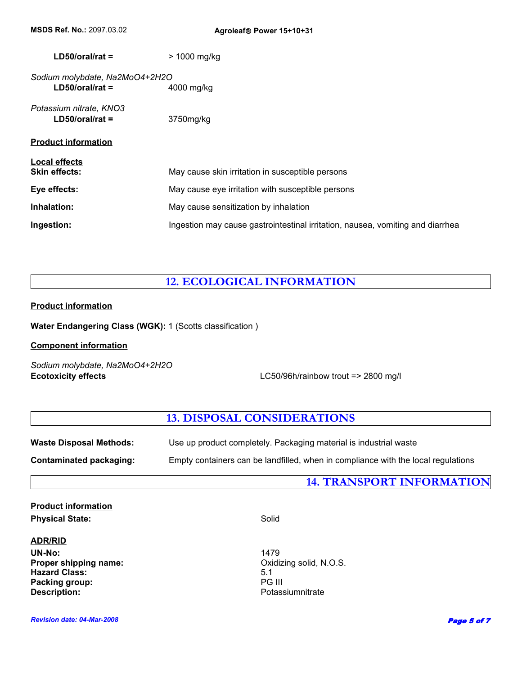| $LD50/oral/rat =$              | $> 1000$ mg/kg                                                                 |
|--------------------------------|--------------------------------------------------------------------------------|
| Sodium molybdate, Na2MoO4+2H2O |                                                                                |
| $LD50/oral/rat =$              | 4000 mg/kg                                                                     |
| Potassium nitrate, KNO3        |                                                                                |
| $LD50/oral/rat =$              | 3750mg/kg                                                                      |
| <b>Product information</b>     |                                                                                |
| <b>Local effects</b>           |                                                                                |
| <b>Skin effects:</b>           | May cause skin irritation in susceptible persons                               |
| Eye effects:                   | May cause eye irritation with susceptible persons                              |
| Inhalation:                    | May cause sensitization by inhalation                                          |
| Ingestion:                     | Ingestion may cause gastrointestinal irritation, nausea, vomiting and diarrhea |
|                                |                                                                                |

# **12. ECOLOGICAL INFORMATION**

# **Product information**

**Water Endangering Class (WGK):** 1 (Scotts classification )

## **Component information**

*Sodium molybdate, Na2MoO4+2H2O*

**Ecotoxicity effects** LC50/96h/rainbow trout => 2800 mg/l

# **13. DISPOSAL CONSIDERATIONS**

| <b>Waste Disposal Methods:</b> | Use up product completely. Packaging material is industrial waste                 |
|--------------------------------|-----------------------------------------------------------------------------------|
| Contaminated packaging:        | Empty containers can be landfilled, when in compliance with the local regulations |

# **14. TRANSPORT INFORMATION**

# **Product information** Physical State: Solid

## **ADR/RID**

UN-No:<br> **Proper shipping name:** The Contract of the Contract of Contract of Contract of Contract of Contract of Contract<br>
Contract of Contract of Contract of Contract of Contract of Contract of Contract of Contract of Cont **Proper shipping name:** CXI COMEX COMEX COMEX COMEX COMEX COMEX COMEX COMEX COMEX COMEX COMEX COMEX COMEX COMEX COM<br> **Proper Solid, N.O.S.** S.1 **Hazard Class:** 5.1 **Packing group:** 5.1 **Packing group:** 5.1 **PG III Packing group: Description:** Potassiumnitrate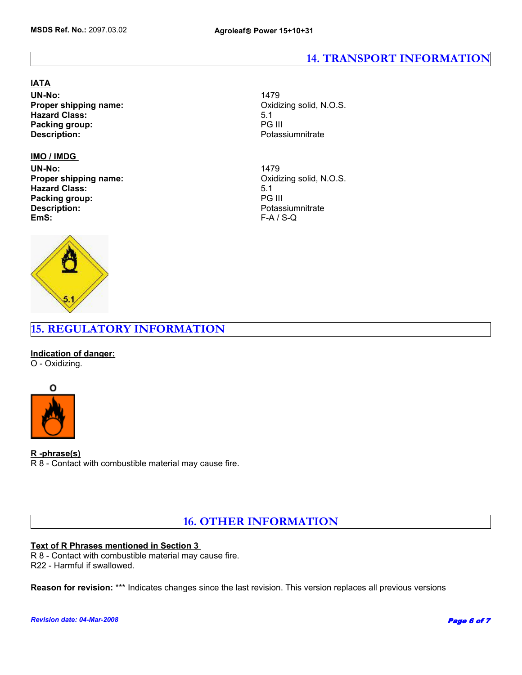# **14. TRANSPORT INFORMATION**

#### **IATA**

**UN-No:** 1479 **Proper shipping name:** COMEXAND COXIDIZING SOLID, N.O.S. **Hazard Class:** 5.1 **Packing group:** PG III

## **IMO / IMDG**

UN-No:<br> **Proper shipping name: Example 2018** The Constanting Solid, N.O.S. **Proper shipping name: Hazard Class:** 5.1 **Packing group:**<br>Description: **EmS:** F-A / S-Q



**Description:** Potassiumnitrate

**Description:** Potassiumnitrate

# **15. REGULATORY INFORMATION**

**Indication of danger:** O - Oxidizing.



## **R -phrase(s)**

R 8 - Contact with combustible material may cause fire.

**16. OTHER INFORMATION**

## **Text of R Phrases mentioned in Section 3**

R 8 - Contact with combustible material may cause fire. R22 - Harmful if swallowed.

**Reason for revision:** \*\*\* Indicates changes since the last revision. This version replaces all previous versions